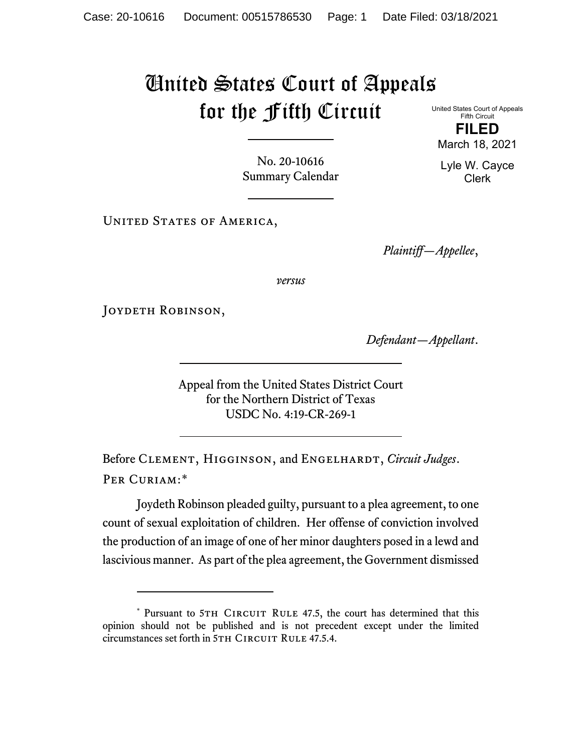## United States Court of Appeals for the Fifth Circuit United States Court of Appeals

Fifth Circuit **FILED**

No. 20-10616 Summary Calendar

UNITED STATES OF AMERICA,

*Plaintiff—Appellee*,

*versus*

JOYDETH ROBINSON,

*Defendant—Appellant*.

Appeal from the United States District Court for the Northern District of Texas USDC No. 4:19-CR-269-1

Before CLEMENT, HIGGINSON, and ENGELHARDT, *Circuit Judges*. Per Curiam:[\\*](#page-0-0)

Joydeth Robinson pleaded guilty, pursuant to a plea agreement, to one count of sexual exploitation of children. Her offense of conviction involved the production of an image of one of her minor daughters posed in a lewd and lascivious manner. As part of the plea agreement, the Government dismissed

March 18, 2021

Lyle W. Cayce Clerk

<span id="page-0-0"></span><sup>\*</sup> Pursuant to 5TH CIRCUIT RULE 47.5, the court has determined that this opinion should not be published and is not precedent except under the limited circumstances set forth in 5TH CIRCUIT RULE 47.5.4.